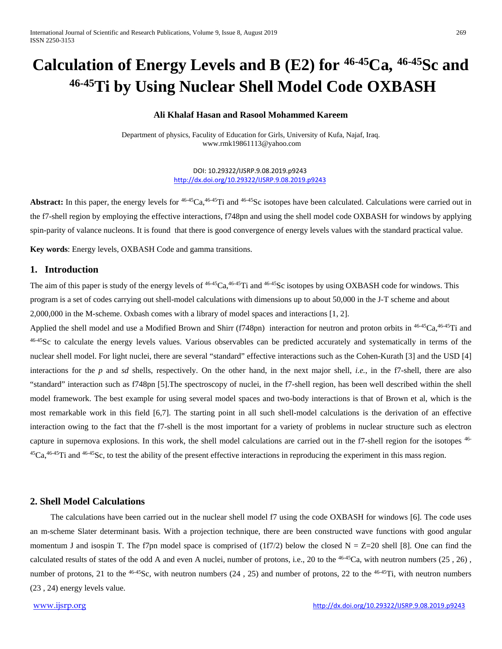# Calculation of Energy Levels and B (E2) for <sup>46-45</sup>Ca, <sup>46-45</sup>Sc and **46-45Ti by Using Nuclear Shell Model Code OXBASH**

#### **Ali Khalaf Hasan and Rasool Mohammed Kareem**

Department of physics, Faculity of Education for Girls, University of Kufa, Najaf, Iraq. www.rmk19861113@yahoo.com

> DOI: 10.29322/IJSRP.9.08.2019.p9243 <http://dx.doi.org/10.29322/IJSRP.9.08.2019.p9243>

**Abstract:** In this paper, the energy levels for <sup>46-45</sup>Ca, <sup>46-45</sup>Ti and <sup>46-45</sup>Sc isotopes have been calculated. Calculations were carried out in the f7-shell region by employing the effective interactions, f748pn and using the shell model code OXBASH for windows by applying spin-parity of valance nucleons. It is found that there is good convergence of energy levels values with the standard practical value.

**Key words**: Energy levels, OXBASH Code and gamma transitions.

## **1. Introduction**

The aim of this paper is study of the energy levels of  $46-45$ Ca,  $46-45$ Ti and  $46-45$ Sc isotopes by using OXBASH code for windows. This program is a set of codes carrying out shell-model calculations with dimensions up to about 50,000 in the J-T scheme and about 2,000,000 in the M-scheme. Oxbash comes with a library of model spaces and interactions [1, 2].

Applied the shell model and use a Modified Brown and Shirr (f748pn) interaction for neutron and proton orbits in  $46-45Ca, 46-45Ti$  and 46-45Sc to calculate the energy levels values. Various observables can be predicted accurately and systematically in terms of the nuclear shell model. For light nuclei, there are several "standard" effective interactions such as the Cohen-Kurath [3] and the USD [4] interactions for the *p* and *sd* shells, respectively. On the other hand, in the next major shell, *i.e.*, in the f7-shell, there are also "standard" interaction such as f748pn [5].The spectroscopy of nuclei, in the f7-shell region, has been well described within the shell model framework. The best example for using several model spaces and two-body interactions is that of Brown et al, which is the most remarkable work in this field [6,7]. The starting point in all such shell-model calculations is the derivation of an effective interaction owing to the fact that the f7-shell is the most important for a variety of problems in nuclear structure such as electron capture in supernova explosions. In this work, the shell model calculations are carried out in the f7-shell region for the isotopes 46-  ${}^{45}Ca$ ,  ${}^{46-45}Ti$  and  ${}^{46-45}Sc$ , to test the ability of the present effective interactions in reproducing the experiment in this mass region.

#### **2. Shell Model Calculations**

 The calculations have been carried out in the nuclear shell model f7 using the code OXBASH for windows [6]. The code uses an m-scheme Slater determinant basis. With a projection technique, there are been constructed wave functions with good angular momentum J and isospin T. The f7pn model space is comprised of  $(1f7/2)$  below the closed N = Z=20 shell [8]. One can find the calculated results of states of the odd A and even A nuclei, number of protons, i.e., 20 to the <sup>46-45</sup>Ca, with neutron numbers (25, 26), number of protons, 21 to the <sup>46-45</sup>Sc, with neutron numbers (24, 25) and number of protons, 22 to the <sup>46-45</sup>Ti, with neutron numbers (23 , 24) energy levels value.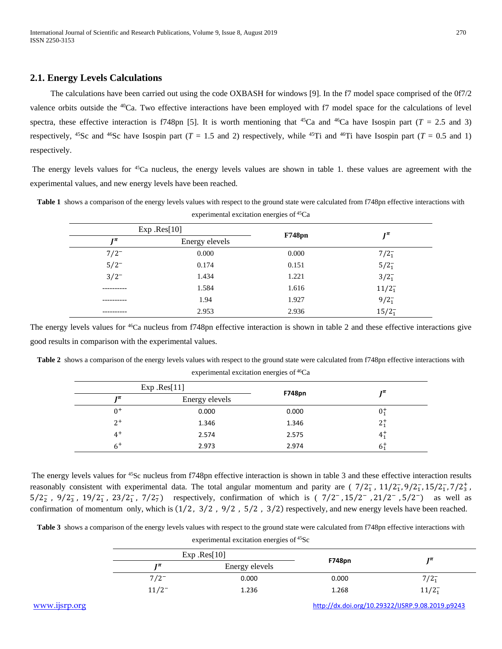### **2.1. Energy Levels Calculations**

 The calculations have been carried out using the code OXBASH for windows [9]. In the f7 model space comprised of the 0f7/2 valence orbits outside the <sup>40</sup>Ca. Two effective interactions have been employed with f7 model space for the calculations of level spectra, these effective interaction is f748pn [5]. It is worth mentioning that <sup>45</sup>Ca and <sup>46</sup>Ca have Isospin part ( $T = 2.5$  and 3) respectively, <sup>45</sup>Sc and <sup>46</sup>Sc have Isospin part (*T* = 1.5 and 2) respectively, while <sup>45</sup>Ti and <sup>46</sup>Ti have Isospin part (*T* = 0.5 and 1) respectively.

The energy levels values for <sup>45</sup>Ca nucleus, the energy levels values are shown in table 1. these values are agreement with the experimental values, and new energy levels have been reached.

|              | Exp Res[10]    |               | $I^{\pi}$  |
|--------------|----------------|---------------|------------|
| $\mathbf{r}$ | Energy elevels | <b>F748pn</b> |            |
| $7/2^{-}$    | 0.000          | 0.000         | $7/2_1^-$  |
| $5/2^{-}$    | 0.174          | 0.151         | $5/2^-_1$  |
| $3/2^{-}$    | 1.434          | 1.221         | $3/2_1^-$  |
| ---------    | 1.584          | 1.616         | $11/2_1^-$ |
|              | 1.94           | 1.927         | $9/2_1^-$  |
| ----------   | 2.953          | 2.936         | $15/2_1^-$ |

Table 1 shows a comparison of the energy levels values with respect to the ground state were calculated from f748pn effective interactions with experimental excitation energies of 45Ca

The energy levels values for <sup>46</sup>Ca nucleus from f748pn effective interaction is shown in table 2 and these effective interactions give good results in comparison with the experimental values.

|              | Exp Res[11]    |               | $\mathbf{I}^{\pi}$ |
|--------------|----------------|---------------|--------------------|
| $\mathbf{r}$ | Energy elevels | <b>F748pn</b> |                    |
| $0^{+}$      | 0.000          | 0.000         | $0^{+}_{1}$        |
| $2^+$        | 1.346          | 1.346         | $2^{+}_{1}$        |
| $4^+$        | 2.574          | 2.575         | $4^{+}_{1}$        |
| $6+$         | 2.973          | 2.974         | $6^{1}_{1}$        |

Table 2 shows a comparison of the energy levels values with respect to the ground state were calculated from f748pn effective interactions with experimental excitation energies of <sup>46</sup>Ca

The energy levels values for <sup>45</sup>Sc nucleus from f748pn effective interaction is shown in table 3 and these effective interaction results reasonably consistent with experimental data. The total angular momentum and parity are  $(\frac{7}{2_1}, \frac{11}{2_1}, \frac{9}{2_1}, \frac{15}{2_1}, \frac{7}{2_1^2}, \frac{1}{2_2^2})$  $5/2_2^-, 9/2_3^-, 19/2_1^-, 23/2_1^-, 7/2_7^+)$  respectively, confirmation of which is  $(7/2^-, 15/2^-, 21/2^-, 5/2^-)$  as well as confirmation of momentum only, which is (1⁄2 , 3⁄2 , 9⁄2 , 5⁄2 , 3⁄2) respectively, and new energy levels have been reached.

Table 3 shows a comparison of the energy levels values with respect to the ground state were calculated from f748pn effective interactions with

experimental excitation energies of 45Sc

|          | Exp Res[10]    |        | $\mathbf{r}$  |
|----------|----------------|--------|---------------|
| гπ       | Energy elevels | F748pn |               |
| $7/2^-$  | 0.000          | 0.000  | $7/2^{-}_{1}$ |
| $11/2^-$ | 1.236          | 1.268  | $11/2^-$      |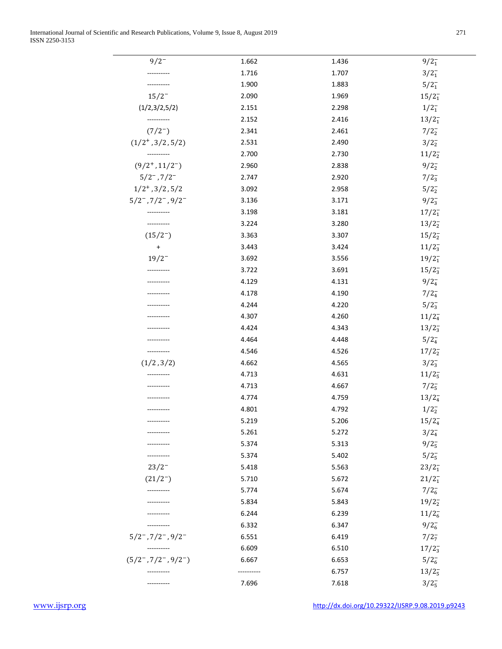| $9/2^{-}$                      | 1.662     | 1.436 | $9/2_1^-$        |
|--------------------------------|-----------|-------|------------------|
|                                | 1.716     | 1.707 | $3/2_1^-$        |
|                                | 1.900     | 1.883 | $5/2^{-}_{1}$    |
| $15/2^{-}$                     | 2.090     | 1.969 | $15/2_1^-$       |
| (1/2,3/2,5/2)                  | 2.151     | 2.298 | $1/2^-_1$        |
| ----------                     | 2.152     | 2.416 | $13/2_1^-$       |
| $(7/2^{-})$                    | 2.341     | 2.461 | $7/2_2^-$        |
| $(1/2^+, 3/2, 5/2)$            | 2.531     | 2.490 | $3/2_2^-$        |
|                                | 2.700     | 2.730 | $11/2_2^-$       |
| $(9/2^+, 11/2^-)$              | 2.960     | 2.838 | $9/2_{2}^{-}$    |
| $5/2^-$ , $7/2^-$              | 2.747     | 2.920 | $7/2_3^-$        |
| $1/2^+$ , $3/2$ , $5/2$        | 3.092     | 2.958 | 5/2 <sub>2</sub> |
| $5/2^-$ , $7/2^-$ , $9/2^-$    | 3.136     | 3.171 | $9/2_3^-$        |
|                                | 3.198     | 3.181 | $17/2_1^-$       |
|                                | 3.224     | 3.280 | $13/2_2^-$       |
| $(15/2^{-})$                   | 3.363     | 3.307 | $15/2_2^-$       |
| $\ddot{}$                      | 3.443     | 3.424 | $11/2_3^-$       |
| $19/2^-$                       | 3.692     | 3.556 | $19/2_1^-$       |
|                                | 3.722     | 3.691 | $15/2_3^-$       |
| ----------                     | 4.129     | 4.131 | $9/2_4^-$        |
|                                | 4.178     | 4.190 | $7/2_4^-$        |
|                                | 4.244     | 4.220 | $5/2_3^-$        |
|                                | 4.307     | 4.260 | $11/2_4^-$       |
|                                | 4.424     | 4.343 | $13/2_3^-$       |
|                                | 4.464     | 4.448 | $5/2_4^-$        |
| ----------                     | 4.546     | 4.526 | $17/2_2^-$       |
| (1/2, 3/2)                     | 4.662     | 4.565 | $3/2_3^-$        |
|                                | 4.713     | 4.631 | $11/2_5^-$       |
|                                | 4.713     | 4.667 | $7/2_5^-$        |
|                                | 4.774     | 4.759 | $13/2_4^-$       |
|                                | 4.801     | 4.792 | $1/2^{-}_{2}$    |
|                                | 5.219     | 5.206 | $15/2_4^-$       |
|                                | 5.261     | 5.272 | $3/2_4^-$        |
|                                | 5.374     | 5.313 | $9/2_5^-$        |
|                                | 5.374     | 5.402 | $5/2_5^-$        |
| $23/2^-$                       | 5.418     | 5.563 | $23/2_1^-$       |
| $(21/2^{-})$                   | 5.710     | 5.672 | $21/2_1^-$       |
| ----------                     | 5.774     | 5.674 | $7/2_6^-$        |
|                                | 5.834     | 5.843 | $19/2_2^-$       |
|                                | 6.244     | 6.239 | $11/2_6^-$       |
|                                | 6.332     | 6.347 | $9/2_6^-$        |
| $5/2^-$ , $7/2^-$ , $9/2^-$    | 6.551     | 6.419 | $7/2_7^-$        |
|                                | 6.609     | 6.510 | $17/2_3^-$       |
| $(5/2^-$ , $7/2^-$ , $9/2^-$ ) | 6.667     | 6.653 | $5/2_6^-$        |
|                                | --------- | 6.757 | $13/2_5^-$       |
|                                | 7.696     | 7.618 | $3/2_{5}^{-}$    |

[www.ijsrp.org](http://ijsrp.org/) <http://dx.doi.org/10.29322/IJSRP.9.08.2019.p9243>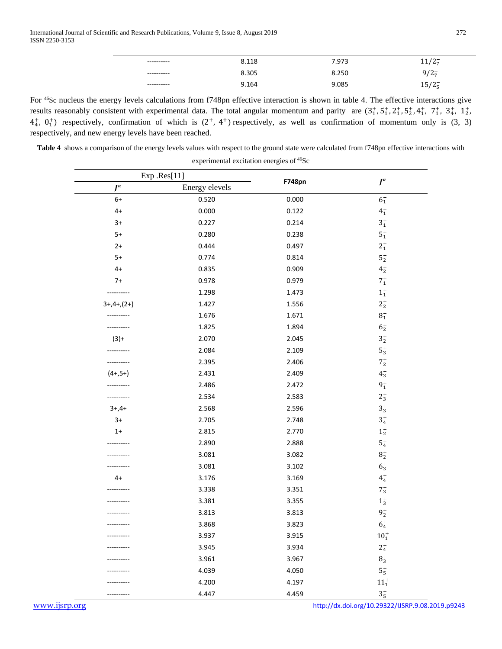| ---------- | 8.118 | 7.973 | $1/2$ .              |
|------------|-------|-------|----------------------|
| ---------- | 8.305 | 8.250 | $9/2\overline{7}$    |
| ---------- | 9.164 | 9.085 | $15/2_{5}^{-}$<br>ر. |

For 46Sc nucleus the energy levels calculations from f748pn effective interaction is shown in table 4. The effective interactions give results reasonably consistent with experimental data. The total angular momentum and parity are  $(3^+_1, 5^+_1, 2^+_1, 5^+_2, 4^+_1, 7^+_1, 3^+_4, 1^+_2)$  $4^+_4$ ,  $0^+_1$ ) respectively, confirmation of which is  $(2^+, 4^+)$  respectively, as well as confirmation of momentum only is  $(3, 3)$ respectively, and new energy levels have been reached.

**Table 4** shows a comparison of the energy levels values with respect to the ground state were calculated from f748pn effective interactions with

experimental excitation energies of 46Sc

|               | Exp .Res[11]   |               |                               |
|---------------|----------------|---------------|-------------------------------|
| $J^{\pi}$     | Energy elevels | <b>F748pn</b> | $J^{\pi}$                     |
| $6+$          | 0.520          | 0.000         | $\mathbf{6}_{1}^{+}$          |
| $4+$          | 0.000          | 0.122         | $4^{+}_{1}$                   |
| $3+$          | 0.227          | 0.214         | $\mathbf{3}^+_1$              |
| $5+$          | 0.280          | 0.238         | $\mathbf{5}^+_1$              |
| $2+$          | 0.444          | 0.497         | $2^{+}_{1}$                   |
| $5+$          | 0.774          | 0.814         | $5^+_2$                       |
| $4+$          | 0.835          | 0.909         | $4^{+}_{2}$                   |
| $7+$          | 0.978          | 0.979         | $7^+_1$                       |
| ----------    | 1.298          | 1.473         | $\mathbf{1}^+_1$              |
| $3+,4+, (2+)$ | 1.427          | 1.556         | $2^+_2$                       |
|               | 1.676          | 1.671         | $\mathbf{8}^+_1$              |
|               | 1.825          | 1.894         | $\mathbf{6}_{2}^{+}$          |
| $(3) +$       | 2.070          | 2.045         | $\mathbf{3}^+_2$              |
|               | 2.084          | 2.109         | $5^{+}_{3}$                   |
|               | 2.395          | 2.406         | $7^+_2$                       |
| $(4+,5+)$     | 2.431          | 2.409         | $4^{+}_{3}$                   |
|               | 2.486          | 2.472         | $9^+_1$                       |
|               | 2.534          | 2.583         | $2^{+}_{3}$                   |
| $3+,4+$       | 2.568          | 2.596         | $3^{+}_{3}$                   |
| $3+$          | 2.705          | 2.748         | $3^{+}_{4}$                   |
| $1+$          | 2.815          | 2.770         | $\mathbf{1}^+_2$              |
|               | 2.890          | 2.888         | ${\bf 5}^+_4$                 |
|               | 3.081          | 3.082         | $\mathbf{8}^+_2$              |
|               | 3.081          | 3.102         | $6^{+}_{3}$                   |
| $4+$          | 3.176          | 3.169         | $4^{+}_{4}$                   |
|               | 3.338          | 3.351         | $7^+_3$                       |
|               | 3.381          | 3.355         | $\mathbf{1}^+_3$              |
|               | 3.813          | 3.813         | $9^+_2$                       |
|               | 3.868          | 3.823         | $6^{+}_{4}$                   |
|               | 3.937          | 3.915         | $10^+_1$                      |
|               | 3.945          | 3.934         | $2^+_4$                       |
|               | 3.961          | 3.967         | $\mathbf{8}_{3}^{+}$          |
|               | 4.039          | 4.050         | $5^+_5$                       |
|               | 4.200          | 4.197         | $\mathbf{11_{1}^{+}}$         |
|               | 4.447          | 4.459         | $3^+_{\scriptscriptstyle{5}}$ |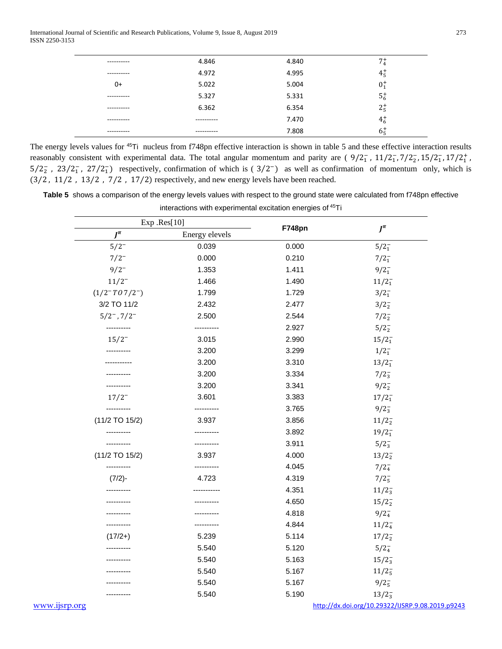International Journal of Scientific and Research Publications, Volume 9, Issue 8, August 2019 273 ISSN 2250-3153

| ---------- | 4.846      | 4.840 | $7^{+}_{4}$ |
|------------|------------|-------|-------------|
| ---------- | 4.972      | 4.995 | $4^{+}_{5}$ |
| 0+         | 5.022      | 5.004 | $0^{+}_{1}$ |
| ---------- | 5.327      | 5.331 | $5^{+}_{6}$ |
| ---------- | 6.362      | 6.354 | $2^{+}_{5}$ |
| ---------- | ---------- | 7.470 | $4^{+}_{6}$ |
| ---------- | ---------- | 7.808 | $6^{+}_{5}$ |
|            |            |       |             |

The energy levels values for <sup>45</sup>Ti nucleus from f748pn effective interaction is shown in table 5 and these effective interaction results reasonably consistent with experimental data. The total angular momentum and parity are  $(9/2<sub>1</sub><sup>-</sup>, 11/2<sub>1</sub><sup>-</sup>, 7/2<sub>2</sub><sup>-</sup>, 15/2<sub>1</sub><sup>-</sup>, 17/2<sub>1</sub><sup>+</sup>$ ,  $5/2<sub>2</sub>$ ,  $23/2<sub>1</sub>$ ,  $27/2<sub>1</sub>$ ) respectively, confirmation of which is ( $3/2<sub>1</sub>$ ) as well as confirmation of momentum only, which is (3⁄2 , 11⁄2 , 13⁄2 , 7⁄2 , 17⁄2) respectively, and new energy levels have been reached.

**Table 5** shows a comparison of the energy levels values with respect to the ground state were calculated from f748pn effective interactions with experimental excitation energies of 45Ti

|                     | Exp Res[10]    |        | $J^{\pi}$                                        |  |
|---------------------|----------------|--------|--------------------------------------------------|--|
| $I^{\pi}$           | Energy elevels | F748pn |                                                  |  |
| $5/2^{-}$           | 0.039          | 0.000  | $5/2^-_1$                                        |  |
| $7/2^{-}$           | 0.000          | 0.210  | $7/2^{-}_{1}$                                    |  |
| $9/2^{-}$           | 1.353          | 1.411  | $9/2^-_1$                                        |  |
| $11/2^-$            | 1.466          | 1.490  | $11/2_1^-$                                       |  |
| $(1/2 - T07/2^{-})$ | 1.799          | 1.729  | $3/2_1^-$                                        |  |
| 3/2 TO 11/2         | 2.432          | 2.477  | $3/2_{2}^{-}$                                    |  |
| $5/2^-$ , $7/2^-$   | 2.500          | 2.544  | 7/2 <sub>2</sub>                                 |  |
| ----------          | ----------     | 2.927  | $5/2_{2}^{-}$                                    |  |
| $15/2^{-}$          | 3.015          | 2.990  | $15/2_1^-$                                       |  |
|                     | 3.200          | 3.299  | $1/2^-_1$                                        |  |
|                     | 3.200          | 3.310  | $13/2_1^-$                                       |  |
|                     | 3.200          | 3.334  | $7/2_3^-$                                        |  |
|                     | 3.200          | 3.341  | $9/2_{2}^{-}$                                    |  |
| $17/2^{-}$          | 3.601          | 3.383  | $17/2_1^-$                                       |  |
|                     |                | 3.765  | $9/2_3^-$                                        |  |
| $(11/2$ TO $15/2)$  | 3.937          | 3.856  | $11/2_2^-$                                       |  |
|                     |                | 3.892  | $19/2_1^-$                                       |  |
|                     |                | 3.911  | $5/2_3^-$                                        |  |
| (11/2 TO 15/2)      | 3.937          | 4.000  | $13/2_2^-$                                       |  |
| ----------          | .              | 4.045  | $7/2_4^-$                                        |  |
| $(7/2)$ -           | 4.723          | 4.319  | $7/2_{5}^{-}$                                    |  |
|                     |                | 4.351  | $11/2_3^-$                                       |  |
|                     |                | 4.650  | $15/2_2^-$                                       |  |
|                     |                | 4.818  | $9/2_4^-$                                        |  |
|                     |                | 4.844  | $11/2_4^-$                                       |  |
| $(17/2+)$           | 5.239          | 5.114  | $17/2_2^-$                                       |  |
|                     | 5.540          | 5.120  | $5/2_4^-$                                        |  |
|                     | 5.540          | 5.163  | $15/2_3^-$                                       |  |
|                     | 5.540          | 5.167  | $11/2_5^-$                                       |  |
|                     | 5.540          | 5.167  | $9/2_5^-$                                        |  |
|                     | 5.540          | 5.190  | $13/2_3^-$                                       |  |
| www.ijsrp.org       |                |        | http://dx.doi.org/10.29322/IJSRP.9.08.2019.p9243 |  |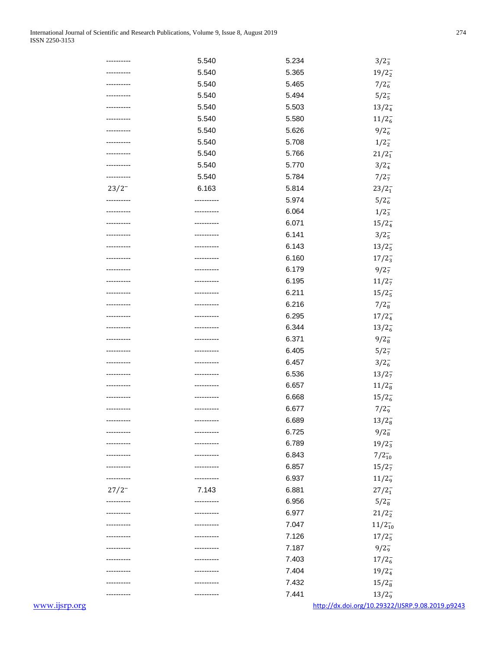|               | ---------- | 5.540      | 5.234 | $3/2_3^-$                                        |
|---------------|------------|------------|-------|--------------------------------------------------|
|               |            | 5.540      | 5.365 | $19/2_2^-$                                       |
|               |            | 5.540      | 5.465 | $7/2_6^-$                                        |
|               |            | 5.540      | 5.494 | $5/2_5^-$                                        |
|               |            | 5.540      | 5.503 | $13/2_4^-$                                       |
|               |            | 5.540      | 5.580 | $11/2_6^-$                                       |
|               |            | 5.540      | 5.626 | $9/2_6^-$                                        |
|               |            | 5.540      | 5.708 | $1/2^{-}_{2}$                                    |
|               |            | 5.540      | 5.766 | $21/2_1^-$                                       |
|               |            | 5.540      | 5.770 | $3/2_4^-$                                        |
|               |            | 5.540      | 5.784 | $7/2_7^-$                                        |
|               | $23/2^-$   | 6.163      | 5.814 |                                                  |
|               |            |            | 5.974 | $23/2_1^-$                                       |
|               |            |            |       | $5/2_6^-$                                        |
|               |            |            | 6.064 | $1/2_{3}^{-}$                                    |
|               |            |            | 6.071 | $15/2_4^-$                                       |
|               |            |            | 6.141 | $3/2_{5}^{-}$                                    |
|               |            |            | 6.143 | $13/2_5^-$                                       |
|               |            |            | 6.160 | $17/2_3^-$                                       |
|               |            |            | 6.179 | $9/2_7^-$                                        |
|               |            |            | 6.195 | $11/2_7^-$                                       |
|               |            |            | 6.211 | $15/2_5^-$                                       |
|               |            |            | 6.216 | $7/2_8^-$                                        |
|               |            |            | 6.295 | $17/2_4^-$                                       |
|               |            |            | 6.344 | $13/2_6^-$                                       |
|               |            |            | 6.371 | $9/2_{8}^{-}$                                    |
|               |            |            | 6.405 | 5/2 <sub>7</sub>                                 |
|               |            |            | 6.457 | $3/2_6^-$                                        |
|               |            |            | 6.536 | $13/2_7^-$                                       |
|               |            |            | 6.657 | $11/2_8^-$                                       |
|               |            |            | 6.668 | $15/2_6^-$                                       |
|               |            |            | 6.677 | $7/2$ <sub>9</sub>                               |
|               | ---------- | ---------- | 6.689 | $13/2_8^-$                                       |
|               | ---------- | ---------  | 6.725 | $9/2_{8}^{-}$                                    |
|               |            |            | 6.789 | $19/2_3^-$                                       |
|               |            |            | 6.843 | $7/2_{10}^{-}$                                   |
|               |            |            | 6.857 | $15/2_7^-$                                       |
|               |            |            | 6.937 | $11/2_9^-$                                       |
|               | $27/2^-$   | 7.143      | 6.881 | $27/2_1^-$                                       |
|               | ---------- |            | 6.956 | $5/2_8^-$                                        |
|               | ---------- | ---------- | 6.977 | $21/2_2^-$                                       |
|               |            |            | 7.047 | $11/2_{10}^{-}$                                  |
|               |            |            | 7.126 | $17/2_5^-$                                       |
|               |            |            | 7.187 | $9/2^{-}_{9}$                                    |
|               |            |            | 7.403 |                                                  |
|               |            |            |       | $17/2_6^-$                                       |
|               |            |            | 7.404 | $19/2_4^-$                                       |
|               |            |            | 7.432 | $15/2_8^-$                                       |
|               |            |            | 7.441 | $13/2_9^-$                                       |
| www.ijsrp.org |            |            |       | http://dx.doi.org/10.29322/IJSRP.9.08.2019.p9243 |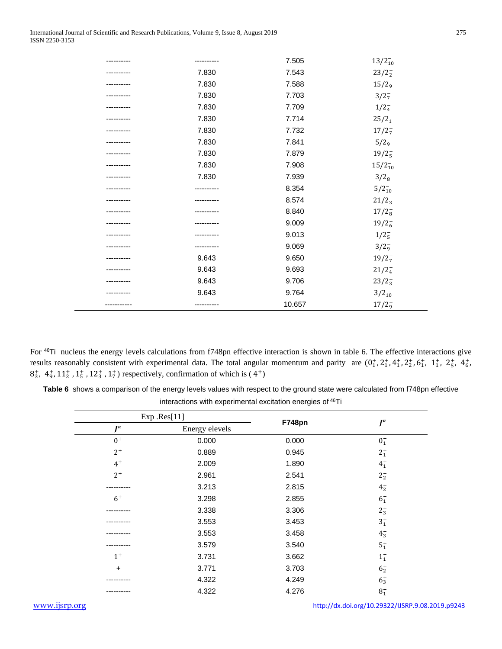| <br>      | 7.505  | $13/2_{10}^{-}$     |
|-----------|--------|---------------------|
| 7.830     | 7.543  | $23/2_2^-$          |
| 7.830     | 7.588  | 15/2 <sub>9</sub>   |
| 7.830     | 7.703  | $3/2_7^-$           |
| 7.830     | 7.709  | $1/2_4^-$           |
| 7.830     | 7.714  | $25/2_1^-$          |
| 7.830     | 7.732  | $17/2_7^-$          |
| 7.830     | 7.841  | $5/2^{-}_{9}$       |
| 7.830     | 7.879  | $19/2_5^-$          |
| 7.830     | 7.908  | $15/2_{10}^{-}$     |
| 7.830     | 7.939  | $3/2_8^-$           |
|           | 8.354  | $5/2_{10}^{-}$      |
|           | 8.574  | $21/2_3^-$          |
|           | 8.840  | $17/2_8^-$          |
|           | 9.009  | $19/2_6^-$          |
|           | 9.013  | $1/2_{5}^{-}$       |
|           | 9.069  | $3/2_9^-$           |
| 9.643     | 9.650  | $19/2_7^-$          |
| 9.643     | 9.693  | $21/2_4^-$          |
| 9.643     | 9.706  | $23/2_3^-$          |
| 9.643     | 9.764  | $3/2_{10}^{-}$      |
| --------- | 10.657 | $17/2$ <sub>9</sub> |

For 46Ti nucleus the energy levels calculations from f748pn effective interaction is shown in table 6. The effective interactions give results reasonably consistent with experimental data. The total angular momentum and parity are  $(0^+_1, 2^+_1, 4^+_1, 2^+_2, 6^+_1, 1^+_1, 2^+_5, 4^+_6,$  $8^+_3$ ,  $4^+_9$ ,  $11^+_2$ ,  $1^+_5$ ,  $12^+_3$ ,  $1^+_7$ ) respectively, confirmation of which is (4<sup>+</sup>)

**Table 6** shows a comparison of the energy levels values with respect to the ground state were calculated from f748pn effective interactions with experimental excitation energies of 46Ti

|           | Exp .Res[11]   |        |                      |
|-----------|----------------|--------|----------------------|
| $J^{\pi}$ | Energy elevels | F748pn | $J^{\pi}$            |
| $0+$      | 0.000          | 0.000  | $0^{+}_{1}$          |
| $2^+$     | 0.889          | 0.945  | $2^{+}_{1}$          |
| $4^+$     | 2.009          | 1.890  | $\mathbf{4}_{1}^{+}$ |
| $2^+$     | 2.961          | 2.541  | $2^{+}_{2}$          |
|           | 3.213          | 2.815  | $4^{+}_{2}$          |
| $6+$      | 3.298          | 2.855  | $6^{+}_{1}$          |
|           | 3.338          | 3.306  | $2^{+}_{3}$          |
|           | 3.553          | 3.453  | $3^{+}_{1}$          |
|           | 3.553          | 3.458  | $4^{+}_{3}$          |
|           | 3.579          | 3.540  | $\mathbf{5}^+_1$     |
| $1^+$     | 3.731          | 3.662  | $\mathbf{1}_{1}^{+}$ |
| $+$       | 3.771          | 3.703  | $6^{+}_{2}$          |
|           | 4.322          | 4.249  | $6^{+}_{3}$          |
|           | 4.322          | 4.276  | $8^{+}_{1}$          |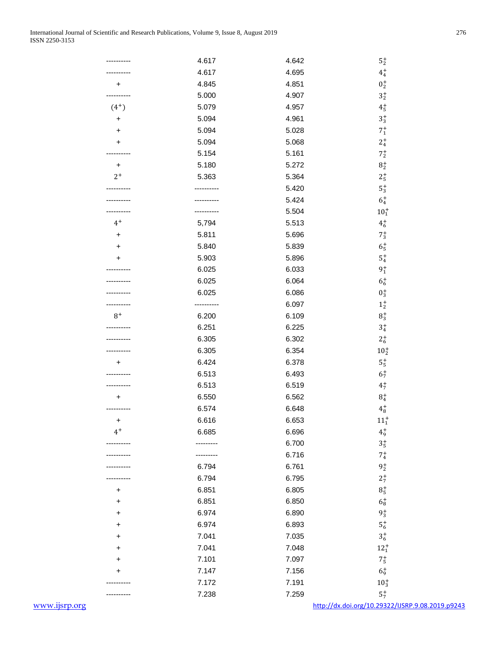|               |           | 4.617 | 4.642 | ${\bf 5}_2^+$                                    |
|---------------|-----------|-------|-------|--------------------------------------------------|
|               |           | 4.617 | 4.695 | $\mathbf{4}_{4}^{+}$                             |
|               | +         | 4.845 | 4.851 | $0^+_2$                                          |
|               |           | 5.000 | 4.907 | $\mathbf{3}^+_{2}$                               |
|               | $(4^{+})$ | 5.079 | 4.957 | $\mathbf{4^{+}_{5}}$                             |
|               | $\ddot{}$ | 5.094 | 4.961 | $\mathbf{3}_{3}^{+}$                             |
|               | +         | 5.094 | 5.028 | $7^+_1\,$                                        |
|               | +         | 5.094 | 5.068 | $\mathbf{2}^+_4$                                 |
|               |           | 5.154 | 5.161 | $7^+_2\,$                                        |
|               | $\ddot{}$ | 5.180 | 5.272 | $\mathbf{8}_{2}^{+}$                             |
|               | $2^+$     | 5.363 | 5.364 | $2^+_{5}\,$                                      |
|               |           |       | 5.420 | ${\bf 5}_3^+$                                    |
|               |           |       | 5.424 | $\mathbf{6^{+}_4}$                               |
|               |           |       | 5.504 | $10^{+}_{1}$                                     |
|               | $4^+$     |       | 5.513 | $\mathbf{4}_{6}^{+}$                             |
|               |           | 5,794 |       |                                                  |
|               | +         | 5.811 | 5.696 | $7^+_3$                                          |
|               | +         | 5.840 | 5.839 | $6^+_{5}$                                        |
|               |           | 5.903 | 5.896 | $\mathbf{5}_{4}^{+}$                             |
|               |           | 6.025 | 6.033 | $9^+_1$                                          |
|               |           | 6.025 | 6.064 | $6^+_6$                                          |
|               |           | 6.025 | 6.086 | $0^+_3$                                          |
|               |           |       | 6.097 | $\mathbf{1}^+_2$                                 |
|               | $8^+$     | 6.200 | 6.109 | $\mathbf{8}_{3}^{+}$                             |
|               |           | 6.251 | 6.225 | $\mathbf{3}_{4}^{+}$                             |
|               |           | 6.305 | 6.302 | $2^+_{\rm 6}$                                    |
|               |           | 6.305 | 6.354 | $10^{+}_{2}$                                     |
|               | +         | 6.424 | 6.378 | ${\bf 5_5^+}$                                    |
|               |           | 6.513 | 6.493 | $6^{+}_{7}$                                      |
|               |           | 6.513 | 6.519 | $4^{+}_{7}$                                      |
|               |           | 6.550 | 6.562 | $\mathbf{8}_{4}^{+}$                             |
|               |           | 6.574 | 6.648 | $\mathbf{4}_{8}^{+}$                             |
|               | +         | 6.616 | 6.653 | $\mathbf{11_{1}^{+}}$                            |
|               | $4^+$     | 6.685 | 6.696 | $\mathbf{4}_{9}^{+}$                             |
|               |           |       | 6.700 | $3_5^+$                                          |
|               |           |       | 6.716 | $7^{+}_{4}$                                      |
|               |           | 6.794 | 6.761 | $9^+_2$                                          |
|               |           | 6.794 | 6.795 | $2^+$                                            |
|               | +         | 6.851 | 6.805 | $\mathbf{8_{5}^{+}}$                             |
|               | +         | 6.851 | 6.850 | $6^+_8$                                          |
|               | $\ddot{}$ | 6.974 | 6.890 | $9^+_3$                                          |
|               | +         | 6.974 | 6.893 | $5^+_{6}$                                        |
|               | +         | 7.041 | 7.035 | $\mathbf{3}^+_6$                                 |
|               | +         | 7.041 | 7.048 | $12^+_1$                                         |
|               | +         | 7.101 | 7.097 | $7^+_{5}$                                        |
|               | +         | 7.147 | 7.156 | $6^+_9$                                          |
|               |           | 7.172 | 7.191 | $10^{+}_{3}$                                     |
|               |           | 7.238 | 7.259 | $5^{+}_{7}$                                      |
| www.ijsrp.org |           |       |       | http://dx.doi.org/10.29322/IJSRP.9.08.2019.p9243 |
|               |           |       |       |                                                  |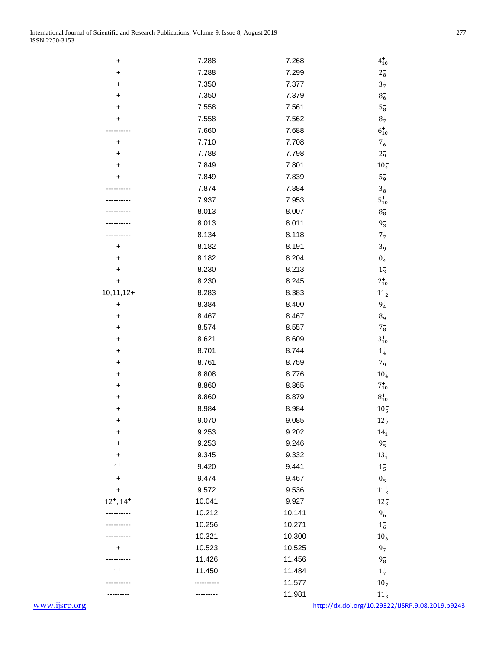| +              | 7.288  | 7.268  | $4^{+}_{10}$                                     |  |
|----------------|--------|--------|--------------------------------------------------|--|
| +              | 7.288  | 7.299  | $\mathbf{2^{+}_{8}}$                             |  |
| +              | 7.350  | 7.377  | $3^+_{7}$                                        |  |
| +              | 7.350  | 7.379  | $\mathbf{8}_{6}^{+}$                             |  |
| +              | 7.558  | 7.561  | ${\bf 5_8^+}$                                    |  |
|                | 7.558  | 7.562  | $8^{+}_{7}$                                      |  |
|                | 7.660  | 7.688  | $6^{+}_{10}$                                     |  |
| +              | 7.710  | 7.708  | $7^+_{6}$                                        |  |
| +              | 7.788  | 7.798  | $2^+_9$                                          |  |
| +              | 7.849  | 7.801  | $10^{+}_{4}$                                     |  |
| +              | 7.849  | 7.839  | $5^+_\mathrm{9}$                                 |  |
|                | 7.874  | 7.884  | $\mathbf{3^{+}_{8}}$                             |  |
|                | 7.937  | 7.953  | $\mathbf{5}^+_{10}$                              |  |
|                | 8.013  | 8.007  | $\mathbf{8}_{8}^{+}$                             |  |
|                | 8.013  | 8.011  | $9^+_3$                                          |  |
|                | 8.134  | 8.118  | $7^+_{7}\,$                                      |  |
| $\ddot{}$      | 8.182  | 8.191  | $3^+_{9}$                                        |  |
| +              | 8.182  | 8.204  | $0^+_4$                                          |  |
| +              | 8.230  | 8.213  | $1_{3}^{+}$                                      |  |
| $\ddot{}$      | 8.230  | 8.245  |                                                  |  |
| $10, 11, 12 +$ | 8.283  | 8.383  | $2^{+}_{10}$                                     |  |
|                |        |        | $\mathbf{11}^+_2$                                |  |
| $\ddot{}$      | 8.384  | 8.400  | $9^+_4$                                          |  |
| +              | 8.467  | 8.467  | $8^+_{9}$                                        |  |
| +              | 8.574  | 8.557  | $7^{+}_{8}$                                      |  |
| +              | 8.621  | 8.609  | $\mathbf{3}^+_{10}$                              |  |
| +              | 8.701  | 8.744  | $\mathbf{1}_{4}^{+}$                             |  |
| +              | 8.761  | 8.759  | $7^{+}_{9}$                                      |  |
| +              | 8.808  | 8.776  | $10^{+}_{4}$                                     |  |
| +              | 8.860  | 8.865  | $7^{+}_{10}$                                     |  |
| +              | 8.860  | 8.879  | $8^+_{10}$                                       |  |
| +              | 8.984  | 8.984  | $10^+_5$                                         |  |
| +              | 9.070  | 9.085  | $12^+_2\,$                                       |  |
| +              | 9.253  | 9.202  | $14^{+}_{1}$                                     |  |
| +              | 9.253  | 9.246  | $9^+_{5}$                                        |  |
| $\ddot{}$      | 9.345  | 9.332  | $13^{+}_{1}$                                     |  |
| $1^+$          | 9.420  | 9.441  | $1^+_{5}$                                        |  |
| +              | 9.474  | 9.467  | $0^{+}_{5}$                                      |  |
| +              | 9.572  | 9.536  | $11^{+}_{2}$                                     |  |
| $12^+, 14^+$   | 10.041 | 9.927  | $12^{+}_{3}$                                     |  |
|                | 10.212 | 10.141 | $9^+_{6}$                                        |  |
|                | 10.256 | 10.271 | $1^{+}_{6}$                                      |  |
|                | 10.321 | 10.300 | $10_{6}^{+}$                                     |  |
|                | 10.523 | 10.525 | $9^{+}_{7}$                                      |  |
|                | 11.426 | 11.456 | $9^{\mathrm{+}}_{\mathrm{8}}$                    |  |
| $1^+$          | 11.450 | 11.484 | $1^{+}_{7}$                                      |  |
|                |        | 11.577 | $10^{+}_{7}$                                     |  |
|                |        | 11.981 | $11_{3}^{+}$                                     |  |
| www.ijsrp.org  |        |        | http://dx.doi.org/10.29322/IJSRP.9.08.2019.p9243 |  |